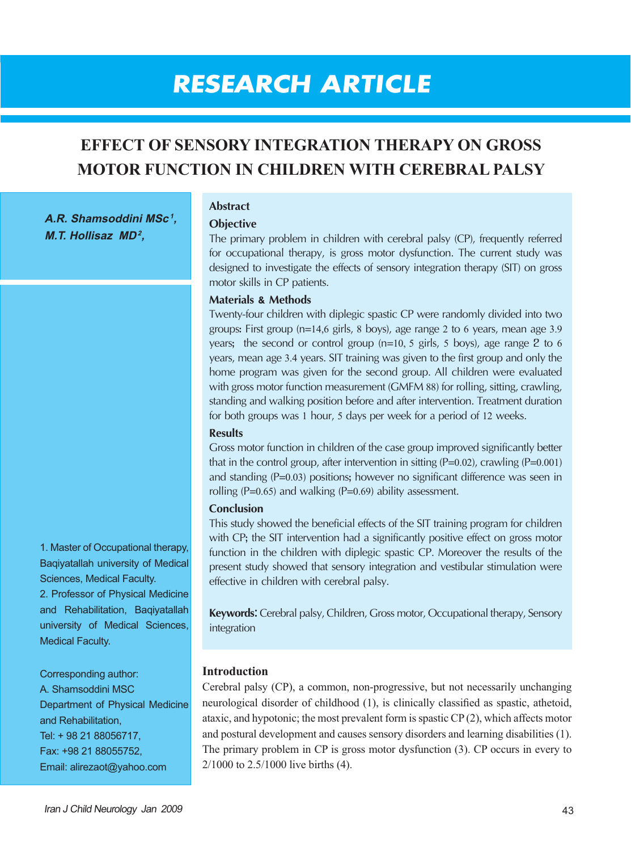# **RESEARCH ARTICLE**

## **EFFECT OF SENSORY INTEGRATION THERAPY ON GROSS MOTOR FUNCTION IN CHILDREN WITH CEREBRAL PALSY**

**A.R. Shamsoddini MSc <sup>1</sup>, M.T. Hollisaz MD<sup>2</sup>,** 

### **Abstract**

#### **Objective**

The primary problem in children with cerebral palsy (CP), frequently referred for occupational therapy, is gross motor dysfunction. The current study was designed to investigate the effects of sensory integration therapy (SIT) on gross motor skills in CP patients.

#### **Materials & Methods**

Twenty-four children with diplegic spastic CP were randomly divided into two groups: First group (n=14,6 girls, 8 boys), age range 2 to 6 years, mean age 3.9 years; the second or control group (n=10, 5 girls, 5 boys), age range 2 to <sup>6</sup> years, mean age 3.4 years. SIT training was given to the first group and only the home program was given for the second group. All children were evaluated with gross motor function measurement (GMFM 88) for rolling, sitting, crawling, standing and walking position before and after intervention. Treatment duration for both groups was 1 hour, 5 days per week for a period of 12 weeks.

#### **Results**

Gross motor function in children of the case group improved significantly better that in the control group, after intervention in sitting  $(P=0.02)$ , crawling  $(P=0.001)$ and standing (P=0.03) positions; however no significant difference was seen in rolling  $(P=0.65)$  and walking  $(P=0.69)$  ability assessment.

#### **Conclusion**

This study showed the beneficial effects of the SIT training program for children with CP; the SIT intervention had a significantly positive effect on gross motor function in the children with diplegic spastic CP. Moreover the results of the present study showed that sensory integration and vestibular stimulation were effective in children with cerebral palsy.

**Keywords:** Cerebral palsy, Children, Gross motor, Occupational therapy, Sensory integration

#### **Introduction**

Cerebral palsy (CP), a common, non-progressive, but not necessarily unchanging neurological disorder of childhood (1), is clinically classified as spastic, athetoid, ataxic, and hypotonic; the most prevalent form is spastic CP (2), which affects motor and postural development and causes sensory disorders and learning disabilities (1). The primary problem in CP is gross motor dysfunction (3). CP occurs in every to 2/1000 to 2.5/1000 live births (4).

1. Master of Occupational therapy, Baqiyatallah university of Medical Sciences, Medical Faculty. 2. Professor of Physical Medicine and Rehabilitation, Baqiyatallah university of Medical Sciences, Medical Faculty.

Corresponding author: A. Shamsoddini MSC Department of Physical Medicine and Rehabilitation, Tel: + 98 21 88056717, Fax: +98 21 88055752, Email: alirezaot@yahoo.com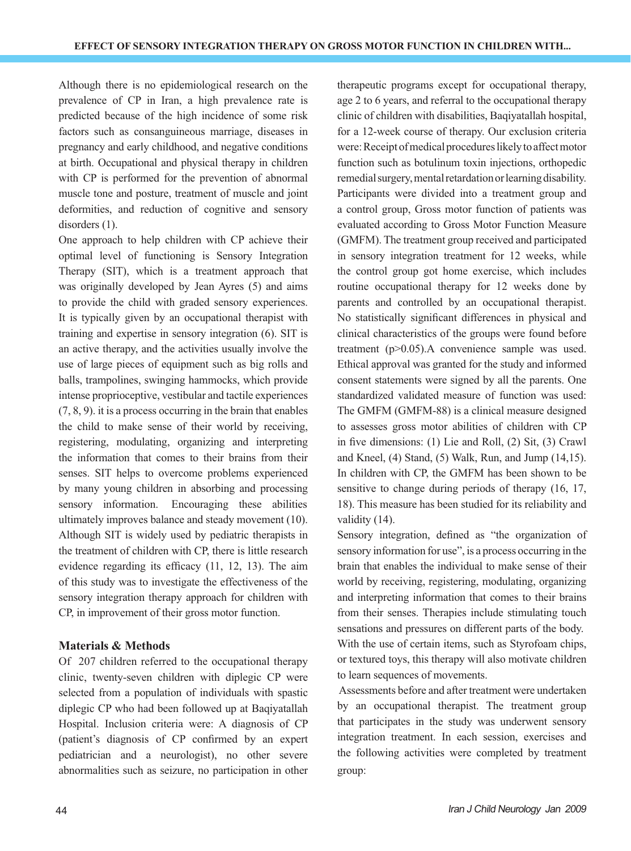Although there is no epidemiological research on the prevalence of CP in Iran, a high prevalence rate is predicted because of the high incidence of some risk factors such as consanguineous marriage, diseases in pregnancy and early childhood, and negative conditions at birth. Occupational and physical therapy in children with CP is performed for the prevention of abnormal muscle tone and posture, treatment of muscle and joint deformities, and reduction of cognitive and sensory disorders  $(1)$ .

One approach to help children with CP achieve their optimal level of functioning is Sensory Integration Therapy (SIT), which is a treatment approach that was originally developed by Jean Ayres (5) and aims to provide the child with graded sensory experiences. It is typically given by an occupational therapist with training and expertise in sensory integration (6). SIT is an active therapy, and the activities usually involve the use of large pieces of equipment such as big rolls and balls, trampolines, swinging hammocks, which provide intense proprioceptive, vestibular and tactile experiences (7, 8, 9). it is a process occurring in the brain that enables the child to make sense of their world by receiving, registering, modulating, organizing and interpreting the information that comes to their brains from their senses. SIT helps to overcome problems experienced by many young children in absorbing and processing sensory information. Encouraging these abilities ultimately improves balance and steady movement (10). Although SIT is widely used by pediatric therapists in the treatment of children with CP, there is little research evidence regarding its efficacy (11, 12, 13). The aim of this study was to investigate the effectiveness of the sensory integration therapy approach for children with CP, in improvement of their gross motor function.

#### **Materials & Methods**

Of 207 children referred to the occupational therapy clinic, twenty-seven children with diplegic CP were selected from a population of individuals with spastic diplegic CP who had been followed up at Baqiyatallah Hospital. Inclusion criteria were: A diagnosis of CP (patient's diagnosis of CP confirmed by an expert pediatrician and a neurologist), no other severe abnormalities such as seizure, no participation in other therapeutic programs except for occupational therapy, age 2 to 6 years, and referral to the occupational therapy clinic of children with disabilities, Baqiyatallah hospital, for a 12-week course of therapy. Our exclusion criteria were: Receipt of medical procedures likely to affect motor function such as botulinum toxin injections, orthopedic remedial surgery, mental retardation or learning disability. Participants were divided into a treatment group and a control group, Gross motor function of patients was evaluated according to Gross Motor Function Measure (GMFM). The treatment group received and participated in sensory integration treatment for 12 weeks, while the control group got home exercise, which includes routine occupational therapy for 12 weeks done by parents and controlled by an occupational therapist. No statistically significant differences in physical and clinical characteristics of the groups were found before treatment (p>0.05).A convenience sample was used. Ethical approval was granted for the study and informed consent statements were signed by all the parents. One standardized validated measure of function was used: The GMFM (GMFM-88) is a clinical measure designed to assesses gross motor abilities of children with CP in five dimensions: (1) Lie and Roll, (2) Sit, (3) Crawl and Kneel, (4) Stand, (5) Walk, Run, and Jump (14,15). In children with CP, the GMFM has been shown to be sensitive to change during periods of therapy (16, 17, 18). This measure has been studied for its reliability and validity (14).

Sensory integration, defined as "the organization of sensory information for use", is a process occurring in the brain that enables the individual to make sense of their world by receiving, registering, modulating, organizing and interpreting information that comes to their brains from their senses. Therapies include stimulating touch sensations and pressures on different parts of the body. With the use of certain items, such as Styrofoam chips, or textured toys, this therapy will also motivate children to learn sequences of movements.

 Assessments before and after treatment were undertaken by an occupational therapist. The treatment group that participates in the study was underwent sensory integration treatment. In each session, exercises and the following activities were completed by treatment group: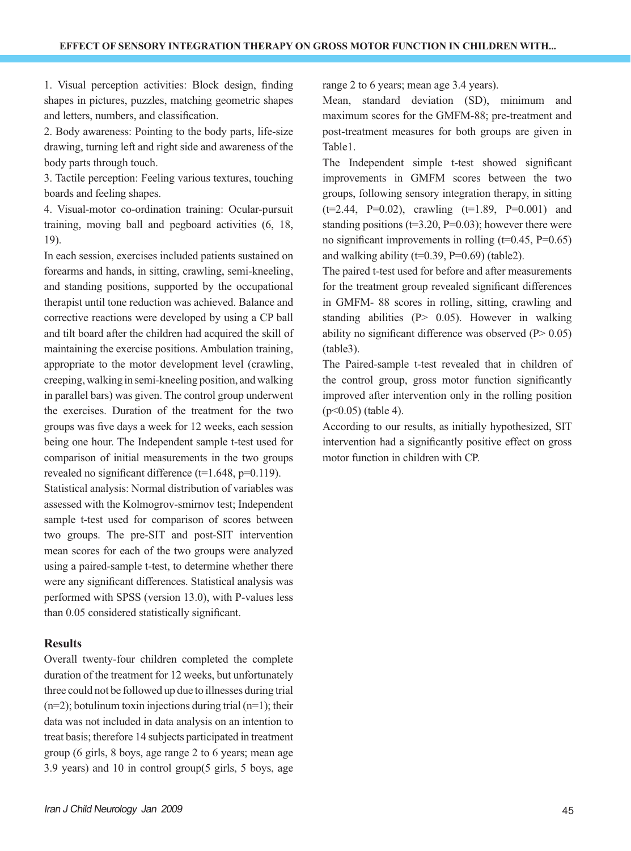1. Visual perception activities: Block design, finding shapes in pictures, puzzles, matching geometric shapes and letters, numbers, and classification.

2. Body awareness: Pointing to the body parts, life-size drawing, turning left and right side and awareness of the body parts through touch.

3. Tactile perception: Feeling various textures, touching boards and feeling shapes.

4. Visual-motor co-ordination training: Ocular-pursuit training, moving ball and pegboard activities (6, 18, 19).

In each session, exercises included patients sustained on forearms and hands, in sitting, crawling, semi-kneeling, and standing positions, supported by the occupational therapist until tone reduction was achieved. Balance and corrective reactions were developed by using a CP ball and tilt board after the children had acquired the skill of maintaining the exercise positions. Ambulation training, appropriate to the motor development level (crawling, creeping, walking in semi-kneeling position, and walking in parallel bars) was given. The control group underwent the exercises. Duration of the treatment for the two groups was five days a week for 12 weeks, each session being one hour. The Independent sample t-test used for comparison of initial measurements in the two groups revealed no significant difference  $(t=1.648, p=0.119)$ .

Statistical analysis: Normal distribution of variables was assessed with the Kolmogrov-smirnov test; Independent sample t-test used for comparison of scores between two groups. The pre-SIT and post-SIT intervention mean scores for each of the two groups were analyzed using a paired-sample t-test, to determine whether there were any significant differences. Statistical analysis was performed with SPSS (version 13.0), with P-values less than 0.05 considered statistically significant.

#### **Results**

Overall twenty-four children completed the complete duration of the treatment for 12 weeks, but unfortunately three could not be followed up due to illnesses during trial  $(n=2)$ ; botulinum toxin injections during trial  $(n=1)$ ; their data was not included in data analysis on an intention to treat basis; therefore 14 subjects participated in treatment group (6 girls, 8 boys, age range 2 to 6 years; mean age 3.9 years) and 10 in control group(5 girls, 5 boys, age range 2 to 6 years; mean age 3.4 years).

Mean, standard deviation (SD), minimum and maximum scores for the GMFM-88; pre-treatment and post-treatment measures for both groups are given in Table1.

The Independent simple t-test showed significant improvements in GMFM scores between the two groups, following sensory integration therapy, in sitting  $(t=2.44, P=0.02)$ , crawling  $(t=1.89, P=0.001)$  and standing positions ( $t=3.20$ ,  $P=0.03$ ); however there were no significant improvements in rolling  $(t=0.45, P=0.65)$ and walking ability ( $t=0.39$ ,  $P=0.69$ ) (table2).

The paired t-test used for before and after measurements for the treatment group revealed significant differences in GMFM- 88 scores in rolling, sitting, crawling and standing abilities  $(P > 0.05)$ . However in walking ability no significant difference was observed  $(P > 0.05)$ (table3).

The Paired-sample t-test revealed that in children of the control group, gross motor function significantly improved after intervention only in the rolling position  $(p<0.05)$  (table 4).

According to our results, as initially hypothesized, SIT intervention had a significantly positive effect on gross motor function in children with CP.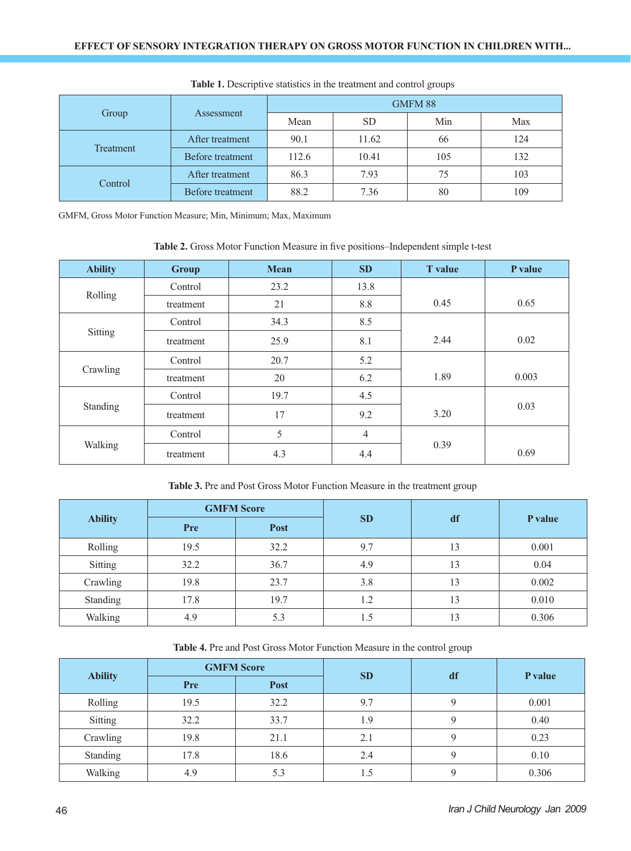| Group     | Assessment       | GMFM 88 |           |     |     |
|-----------|------------------|---------|-----------|-----|-----|
|           |                  | Mean    | <b>SD</b> | Min | Max |
| Treatment | After treatment  | 90.1    | 11.62     | 66  | 124 |
|           | Before treatment | 112.6   | 10.41     | 105 | 132 |
| Control   | After treatment  | 86.3    | 7.93      | 75  | 103 |
|           | Before treatment | 88.2    | 7.36      | 80  | 109 |

**Table 1.** Descriptive statistics in the treatment and control groups

GMFM, Gross Motor Function Measure; Min, Minimum; Max, Maximum

**Table 2.** Gross Motor Function Measure in five positions–Independent simple t-test

| <b>Ability</b> | <b>Group</b> | <b>Mean</b> | SD             | <b>T</b> value | P value |
|----------------|--------------|-------------|----------------|----------------|---------|
| Rolling        | Control      | 23.2        | 13.8           |                |         |
|                | treatment    | 21          | 8.8            | 0.45           | 0.65    |
| Sitting        | Control      | 34.3        | 8.5            |                |         |
|                | treatment    | 25.9        | 8.1            | 2.44           | 0.02    |
| Crawling       | Control      | 20.7        | 5.2            |                |         |
|                | treatment    | 20          | 6.2            | 1.89           | 0.003   |
| Standing       | Control      | 19.7        | 4.5            |                |         |
|                | treatment    | 17          | 9.2            | 3.20           | 0.03    |
| Walking        | Control      | 5           | $\overline{4}$ |                |         |
|                | treatment    | 4.3         | 4.4            | 0.39           | 0.69    |

**Table 3.** Pre and Post Gross Motor Function Measure in the treatment group

| <b>Ability</b> | <b>GMFM Score</b> |      |           |    |         |
|----------------|-------------------|------|-----------|----|---------|
|                | Pre               | Post | <b>SD</b> | df | P value |
| Rolling        | 19.5              | 32.2 | 9.7       | 13 | 0.001   |
| <b>Sitting</b> | 32.2              | 36.7 | 4.9       | 13 | 0.04    |
| Crawling       | 19.8              | 23.7 | 3.8       | 13 | 0.002   |
| Standing       | 17.8              | 19.7 | 1.2       | 13 | 0.010   |
| Walking        | 4.9               | 5.3  | 1.5       | 13 | 0.306   |

| Table 4. Pre and Post Gross Motor Function Measure in the control group |  |  |  |
|-------------------------------------------------------------------------|--|--|--|
|-------------------------------------------------------------------------|--|--|--|

| <b>Ability</b> | <b>GMFM Score</b> |             |           |             |         |
|----------------|-------------------|-------------|-----------|-------------|---------|
|                | Pre               | <b>Post</b> | <b>SD</b> | df          | P value |
| Rolling        | 19.5              | 32.2        | 9.7       | Q           | 0.001   |
| Sitting        | 32.2              | 33.7        | 1.9       | Q           | 0.40    |
| Crawling       | 19.8              | 21.1        | 2.1       | 9           | 0.23    |
| Standing       | 17.8              | 18.6        | 2.4       | Q           | 0.10    |
| Walking        | 4.9               | 5.3         | l.5       | $\mathbf Q$ | 0.306   |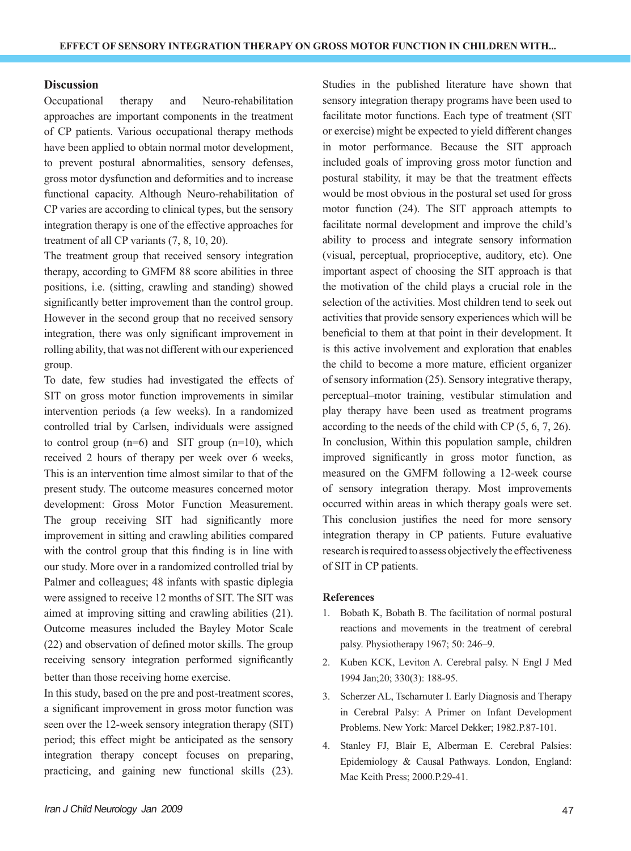#### **Discussion**

Occupational therapy and Neuro-rehabilitation approaches are important components in the treatment of CP patients. Various occupational therapy methods have been applied to obtain normal motor development, to prevent postural abnormalities, sensory defenses, gross motor dysfunction and deformities and to increase functional capacity. Although Neuro-rehabilitation of CP varies are according to clinical types, but the sensory integration therapy is one of the effective approaches for treatment of all CP variants (7, 8, 10, 20).

The treatment group that received sensory integration therapy, according to GMFM 88 score abilities in three positions, i.e. (sitting, crawling and standing) showed significantly better improvement than the control group. However in the second group that no received sensory integration, there was only significant improvement in rolling ability, that was not different with our experienced group.

To date, few studies had investigated the effects of SIT on gross motor function improvements in similar intervention periods (a few weeks). In a randomized controlled trial by Carlsen, individuals were assigned to control group  $(n=6)$  and SIT group  $(n=10)$ , which received 2 hours of therapy per week over 6 weeks, This is an intervention time almost similar to that of the present study. The outcome measures concerned motor development: Gross Motor Function Measurement. The group receiving SIT had significantly more improvement in sitting and crawling abilities compared with the control group that this finding is in line with our study. More over in a randomized controlled trial by Palmer and colleagues; 48 infants with spastic diplegia were assigned to receive 12 months of SIT. The SIT was aimed at improving sitting and crawling abilities (21). Outcome measures included the Bayley Motor Scale (22) and observation of defined motor skills. The group receiving sensory integration performed significantly better than those receiving home exercise.

In this study, based on the pre and post-treatment scores, a significant improvement in gross motor function was seen over the 12-week sensory integration therapy (SIT) period; this effect might be anticipated as the sensory integration therapy concept focuses on preparing, practicing, and gaining new functional skills (23).

Studies in the published literature have shown that sensory integration therapy programs have been used to facilitate motor functions. Each type of treatment (SIT or exercise) might be expected to yield different changes in motor performance. Because the SIT approach included goals of improving gross motor function and postural stability, it may be that the treatment effects would be most obvious in the postural set used for gross motor function (24). The SIT approach attempts to facilitate normal development and improve the child's ability to process and integrate sensory information (visual, perceptual, proprioceptive, auditory, etc). One important aspect of choosing the SIT approach is that the motivation of the child plays a crucial role in the selection of the activities. Most children tend to seek out activities that provide sensory experiences which will be beneficial to them at that point in their development. It is this active involvement and exploration that enables the child to become a more mature, efficient organizer of sensory information (25). Sensory integrative therapy, perceptual–motor training, vestibular stimulation and play therapy have been used as treatment programs according to the needs of the child with CP (5, 6, 7, 26). In conclusion, Within this population sample, children improved significantly in gross motor function, as measured on the GMFM following a 12-week course of sensory integration therapy. Most improvements occurred within areas in which therapy goals were set. This conclusion justifies the need for more sensory integration therapy in CP patients. Future evaluative research is required to assess objectively the effectiveness of SIT in CP patients.

#### **References**

- 1. Bobath K, Bobath B. The facilitation of normal postural reactions and movements in the treatment of cerebral palsy. Physiotherapy 1967; 50: 246–9.
- 2. Kuben KCK, Leviton A. Cerebral palsy. N Engl J Med 1994 Jan;20; 330(3): 188-95.
- 3. Scherzer AL, Tscharnuter I. Early Diagnosis and Therapy in Cerebral Palsy: A Primer on Infant Development Problems. New York: Marcel Dekker; 1982.P.87-101.
- 4. Stanley FJ, Blair E, Alberman E. Cerebral Palsies: Epidemiology & Causal Pathways. London, England: Mac Keith Press; 2000.P.29-41.